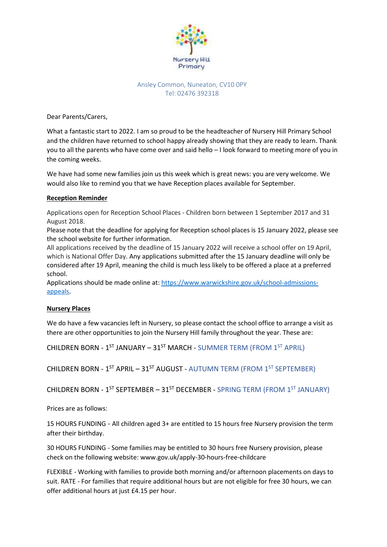

### Ansley Common, Nuneaton, CV10 0PY Tel: 02476 392318

Dear Parents/Carers,

What a fantastic start to 2022. I am so proud to be the headteacher of Nursery Hill Primary School and the children have returned to school happy already showing that they are ready to learn. Thank you to all the parents who have come over and said hello – I look forward to meeting more of you in the coming weeks.

We have had some new families join us this week which is great news: you are very welcome. We would also like to remind you that we have Reception places available for September.

## **Reception Reminder**

Applications open for Reception School Places - Children born between 1 September 2017 and 31 August 2018.

Please note that the deadline for applying for Reception school places is 15 January 2022, please see the school website for further information.

All applications received by the deadline of 15 January 2022 will receive a school offer on 19 April, which is National Offer Day. Any applications submitted after the 15 January deadline will only be considered after 19 April, meaning the child is much less likely to be offered a place at a preferred school.

Applications should be made online at: [https://www.warwickshire.gov.uk/school-admissions](https://eur02.safelinks.protection.outlook.com/?url=https%3A%2F%2Fwww.warwickshire.gov.uk%2Fschool-admissions-appeals&data=04%7C01%7Cearlyyears%40warwickshire.gov.uk%7C7769417f24584e0d953c08d9b01f555e%7C88b0aa0659274bbba89389cc2713ac82%7C0%7C0%7C637734470877033919%7CUnknown%7CTWFpbGZsb3d8eyJWIjoiMC4wLjAwMDAiLCJQIjoiV2luMzIiLCJBTiI6Ik1haWwiLCJXVCI6Mn0%3D%7C3000&sdata=21mFNiuIGNN5VRT6%2B4wF7bgjyqWz9Q%2Bo%2FyKPERECcU4%3D&reserved=0)[appeals.](https://eur02.safelinks.protection.outlook.com/?url=https%3A%2F%2Fwww.warwickshire.gov.uk%2Fschool-admissions-appeals&data=04%7C01%7Cearlyyears%40warwickshire.gov.uk%7C7769417f24584e0d953c08d9b01f555e%7C88b0aa0659274bbba89389cc2713ac82%7C0%7C0%7C637734470877033919%7CUnknown%7CTWFpbGZsb3d8eyJWIjoiMC4wLjAwMDAiLCJQIjoiV2luMzIiLCJBTiI6Ik1haWwiLCJXVCI6Mn0%3D%7C3000&sdata=21mFNiuIGNN5VRT6%2B4wF7bgjyqWz9Q%2Bo%2FyKPERECcU4%3D&reserved=0)

#### **Nursery Places**

We do have a few vacancies left in Nursery, so please contact the school office to arrange a visit as there are other opportunities to join the Nursery Hill family throughout the year. These are:

CHILDREN BORN - 1<sup>ST</sup> JANUARY – 31<sup>ST</sup> MARCH - SUMMER TERM (FROM 1<sup>ST</sup> APRIL)

CHILDREN BORN - 1<sup>ST</sup> APRIL – 31<sup>ST</sup> AUGUST - AUTUMN TERM (FROM 1<sup>ST</sup> SEPTEMBER)

CHILDREN BORN - 1<sup>ST</sup> SEPTEMBER – 31<sup>ST</sup> DECEMBER - SPRING TERM (FROM 1<sup>ST</sup> JANUARY)

Prices are as follows:

15 HOURS FUNDING - All children aged 3+ are entitled to 15 hours free Nursery provision the term after their birthday.

30 HOURS FUNDING - Some families may be entitled to 30 hours free Nursery provision, please check on the following website: www.gov.uk/apply-30-hours-free-childcare

FLEXIBLE - Working with families to provide both morning and/or afternoon placements on days to suit. RATE - For families that require additional hours but are not eligible for free 30 hours, we can offer additional hours at just £4.15 per hour.